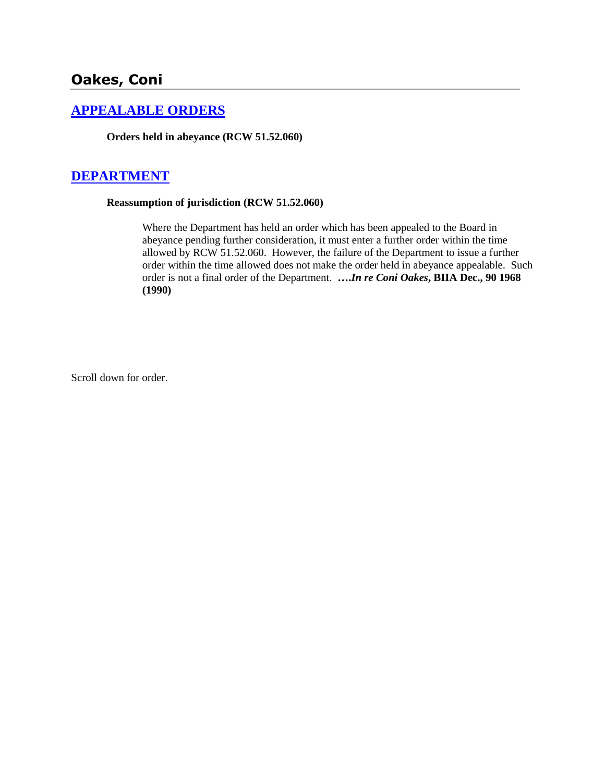# **Oakes, Coni**

## **[APPEALABLE ORDERS](http://www.biia.wa.gov/SDSubjectIndex.html#APPEALABLE_ORDERS)**

**Orders held in abeyance (RCW 51.52.060)**

## **[DEPARTMENT](http://www.biia.wa.gov/SDSubjectIndex.html#DEPARTMENT)**

#### **Reassumption of jurisdiction (RCW 51.52.060)**

Where the Department has held an order which has been appealed to the Board in abeyance pending further consideration, it must enter a further order within the time allowed by RCW 51.52.060. However, the failure of the Department to issue a further order within the time allowed does not make the order held in abeyance appealable. Such order is not a final order of the Department. **….***In re Coni Oakes***, BIIA Dec., 90 1968 (1990)** 

Scroll down for order.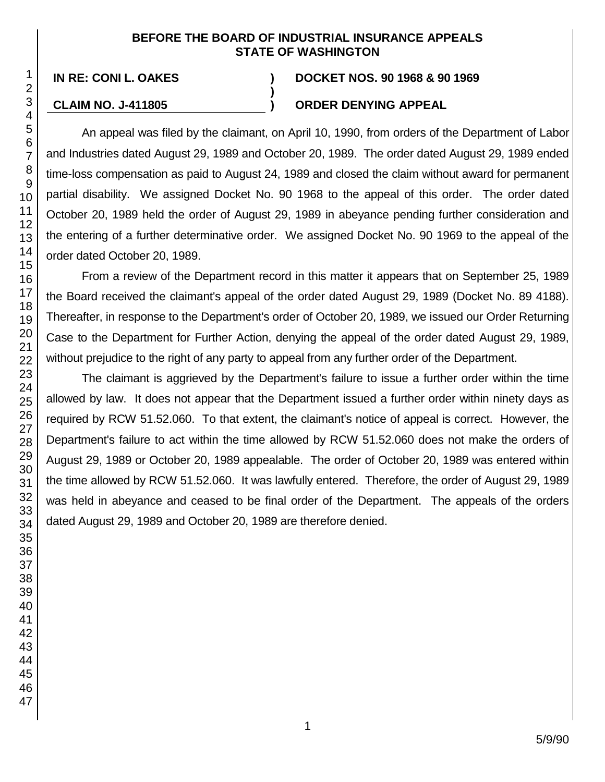#### **BEFORE THE BOARD OF INDUSTRIAL INSURANCE APPEALS STATE OF WASHINGTON**

**)**

#### **IN RE: CONI L. OAKES ) DOCKET NOS. 90 1968 & 90 1969**

## **CLAIM NO. J-411805 ) ORDER DENYING APPEAL**

An appeal was filed by the claimant, on April 10, 1990, from orders of the Department of Labor and Industries dated August 29, 1989 and October 20, 1989. The order dated August 29, 1989 ended time-loss compensation as paid to August 24, 1989 and closed the claim without award for permanent partial disability. We assigned Docket No. 90 1968 to the appeal of this order. The order dated October 20, 1989 held the order of August 29, 1989 in abeyance pending further consideration and the entering of a further determinative order. We assigned Docket No. 90 1969 to the appeal of the order dated October 20, 1989.

From a review of the Department record in this matter it appears that on September 25, 1989 the Board received the claimant's appeal of the order dated August 29, 1989 (Docket No. 89 4188). Thereafter, in response to the Department's order of October 20, 1989, we issued our Order Returning Case to the Department for Further Action, denying the appeal of the order dated August 29, 1989, without prejudice to the right of any party to appeal from any further order of the Department.

The claimant is aggrieved by the Department's failure to issue a further order within the time allowed by law. It does not appear that the Department issued a further order within ninety days as required by RCW 51.52.060. To that extent, the claimant's notice of appeal is correct. However, the Department's failure to act within the time allowed by RCW 51.52.060 does not make the orders of August 29, 1989 or October 20, 1989 appealable. The order of October 20, 1989 was entered within the time allowed by RCW 51.52.060. It was lawfully entered. Therefore, the order of August 29, 1989 was held in abeyance and ceased to be final order of the Department. The appeals of the orders dated August 29, 1989 and October 20, 1989 are therefore denied.